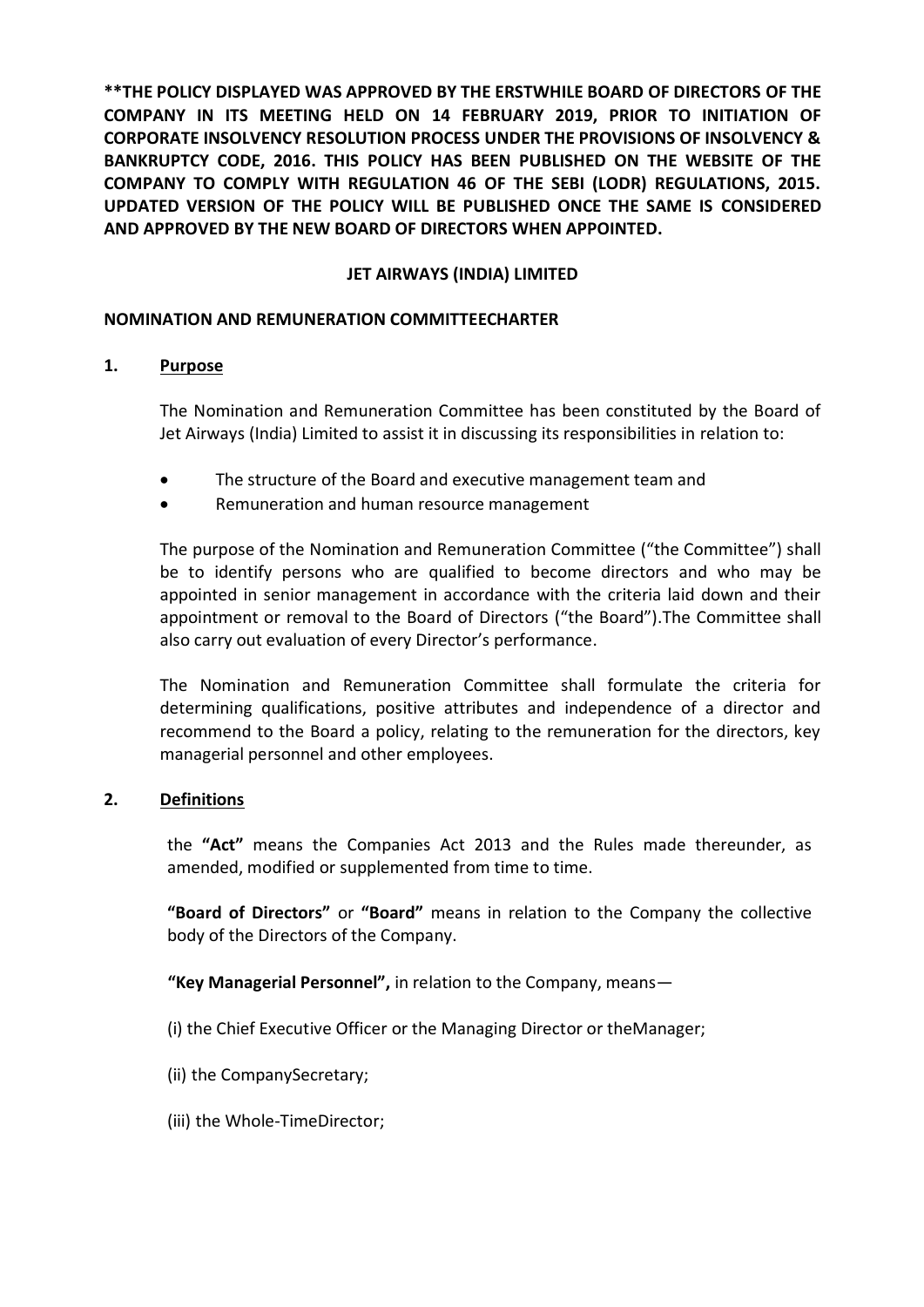**\*\*THE POLICY DISPLAYED WAS APPROVED BY THE ERSTWHILE BOARD OF DIRECTORS OF THE COMPANY IN ITS MEETING HELD ON 14 FEBRUARY 2019, PRIOR TO INITIATION OF CORPORATE INSOLVENCY RESOLUTION PROCESS UNDER THE PROVISIONS OF INSOLVENCY & BANKRUPTCY CODE, 2016. THIS POLICY HAS BEEN PUBLISHED ON THE WEBSITE OF THE COMPANY TO COMPLY WITH REGULATION 46 OF THE SEBI (LODR) REGULATIONS, 2015. UPDATED VERSION OF THE POLICY WILL BE PUBLISHED ONCE THE SAME IS CONSIDERED AND APPROVED BY THE NEW BOARD OF DIRECTORS WHEN APPOINTED.**

## **JET AIRWAYS (INDIA) LIMITED**

#### **NOMINATION AND REMUNERATION COMMITTEECHARTER**

#### **1. Purpose**

The Nomination and Remuneration Committee has been constituted by the Board of Jet Airways (India) Limited to assist it in discussing its responsibilities in relation to:

- The structure of the Board and executive management team and
- Remuneration and human resource management

The purpose of the Nomination and Remuneration Committee ("the Committee") shall be to identify persons who are qualified to become directors and who may be appointed in senior management in accordance with the criteria laid down and their appointment or removal to the Board of Directors ("the Board").The Committee shall also carry out evaluation of every Director's performance.

The Nomination and Remuneration Committee shall formulate the criteria for determining qualifications, positive attributes and independence of a director and recommend to the Board a policy, relating to the remuneration for the directors, key managerial personnel and other employees.

#### **2. Definitions**

the **"Act"** means the Companies Act 2013 and the Rules made thereunder, as amended, modified or supplemented from time to time.

**"Board of Directors"** or **"Board"** means in relation to the Company the collective body of the Directors of the Company.

**"Key Managerial Personnel",** in relation to the Company, means—

- (i) the Chief Executive Officer or the Managing Director or theManager;
- (ii) the CompanySecretary;
- (iii) the Whole-TimeDirector;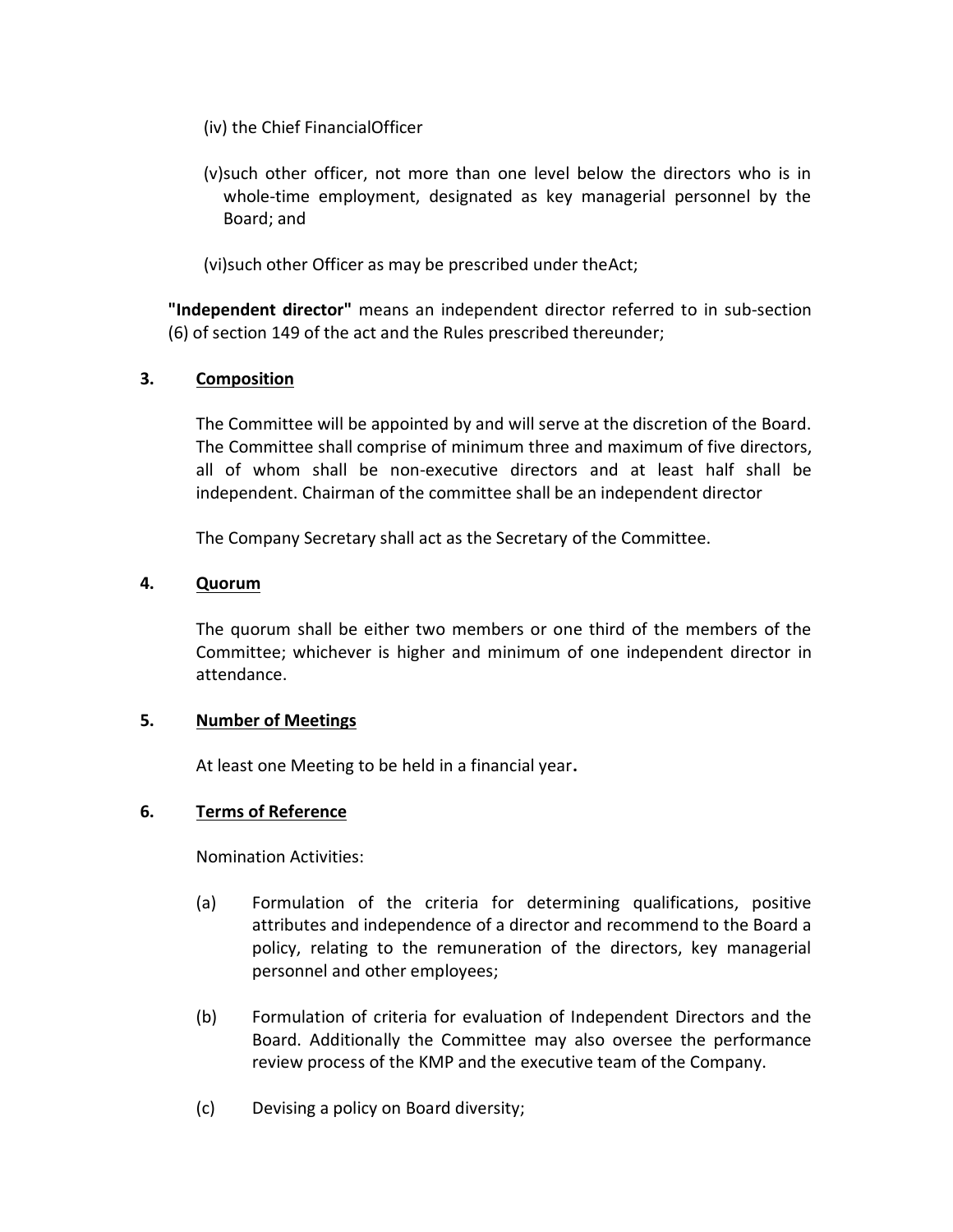- (iv) the Chief FinancialOfficer
- (v)such other officer, not more than one level below the directors who is in whole-time employment, designated as key managerial personnel by the Board; and

(vi)such other Officer as may be prescribed under theAct;

**"Independent director"** means an independent director referred to in sub-section (6) of section 149 of the act and the Rules prescribed thereunder;

#### **3. Composition**

The Committee will be appointed by and will serve at the discretion of the Board. The Committee shall comprise of minimum three and maximum of five directors, all of whom shall be non-executive directors and at least half shall be independent. Chairman of the committee shall be an independent director

The Company Secretary shall act as the Secretary of the Committee.

## **4. Quorum**

The quorum shall be either two members or one third of the members of the Committee; whichever is higher and minimum of one independent director in attendance.

#### **5. Number of Meetings**

At least one Meeting to be held in a financial year**.**

#### **6. Terms of Reference**

Nomination Activities:

- (a) Formulation of the criteria for determining qualifications, positive attributes and independence of a director and recommend to the Board a policy, relating to the remuneration of the directors, key managerial personnel and other employees;
- (b) Formulation of criteria for evaluation of Independent Directors and the Board. Additionally the Committee may also oversee the performance review process of the KMP and the executive team of the Company.
- (c) Devising a policy on Board diversity;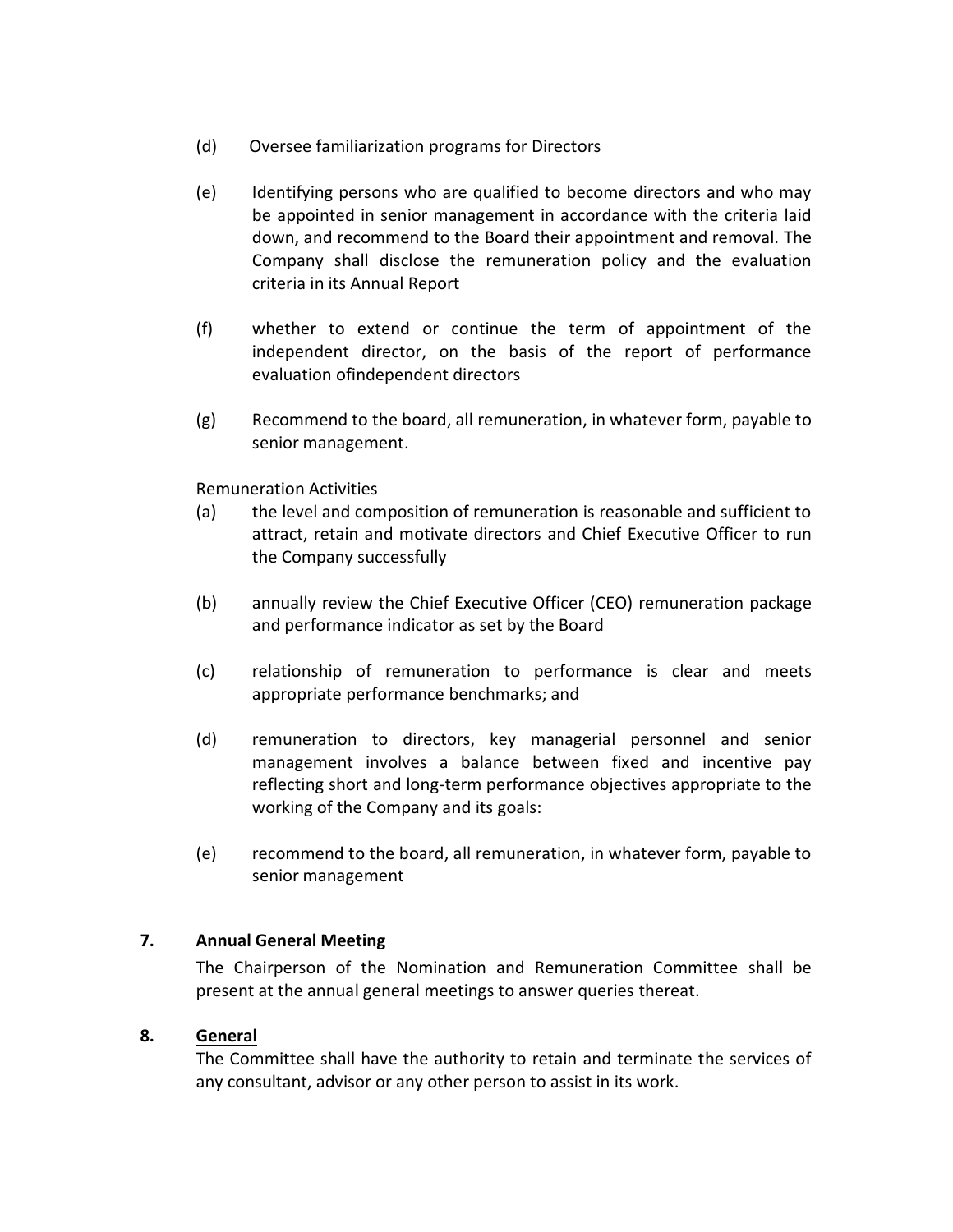- (d) Oversee familiarization programs for Directors
- (e) Identifying persons who are qualified to become directors and who may be appointed in senior management in accordance with the criteria laid down, and recommend to the Board their appointment and removal. The Company shall disclose the remuneration policy and the evaluation criteria in its Annual Report
- (f) whether to extend or continue the term of appointment of the independent director, on the basis of the report of performance evaluation ofindependent directors
- (g) Recommend to the board, all remuneration, in whatever form, payable to senior management.

Remuneration Activities

- (a) the level and composition of remuneration is reasonable and sufficient to attract, retain and motivate directors and Chief Executive Officer to run the Company successfully
- (b) annually review the Chief Executive Officer (CEO) remuneration package and performance indicator as set by the Board
- (c) relationship of remuneration to performance is clear and meets appropriate performance benchmarks; and
- (d) remuneration to directors, key managerial personnel and senior management involves a balance between fixed and incentive pay reflecting short and long-term performance objectives appropriate to the working of the Company and its goals:
- (e) recommend to the board, all remuneration, in whatever form, payable to senior management

# **7. Annual General Meeting**

The Chairperson of the Nomination and Remuneration Committee shall be present at the annual general meetings to answer queries thereat.

#### **8. General**

The Committee shall have the authority to retain and terminate the services of any consultant, advisor or any other person to assist in its work.